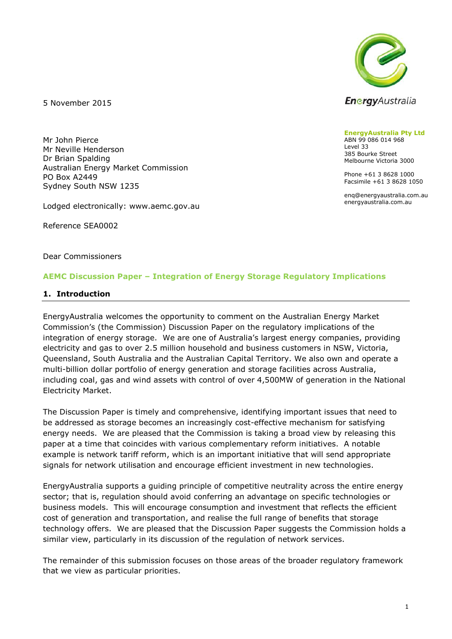

5 November 2015

Mr John Pierce Mr Neville Henderson Dr Brian Spalding Australian Energy Market Commission PO Box A2449 Sydney South NSW 1235

Lodged electronically: www.aemc.gov.au

Reference SEA0002

Dear Commissioners

#### **AEMC Discussion Paper – Integration of Energy Storage Regulatory Implications**

#### **1. Introduction**

EnergyAustralia welcomes the opportunity to comment on the Australian Energy Market Commission's (the Commission) Discussion Paper on the regulatory implications of the integration of energy storage. We are one of Australia's largest energy companies, providing electricity and gas to over 2.5 million household and business customers in NSW, Victoria, Queensland, South Australia and the Australian Capital Territory. We also own and operate a multi-billion dollar portfolio of energy generation and storage facilities across Australia, including coal, gas and wind assets with control of over 4,500MW of generation in the National Electricity Market.

The Discussion Paper is timely and comprehensive, identifying important issues that need to be addressed as storage becomes an increasingly cost-effective mechanism for satisfying energy needs. We are pleased that the Commission is taking a broad view by releasing this paper at a time that coincides with various complementary reform initiatives. A notable example is network tariff reform, which is an important initiative that will send appropriate signals for network utilisation and encourage efficient investment in new technologies.

EnergyAustralia supports a guiding principle of competitive neutrality across the entire energy sector; that is, regulation should avoid conferring an advantage on specific technologies or business models. This will encourage consumption and investment that reflects the efficient cost of generation and transportation, and realise the full range of benefits that storage technology offers. We are pleased that the Discussion Paper suggests the Commission holds a similar view, particularly in its discussion of the regulation of network services.

The remainder of this submission focuses on those areas of the broader regulatory framework that we view as particular priorities.

#### **EnergyAustralia Pty Ltd** ABN 99 086 014 968 Level 33 385 Bourke Street Melbourne Victoria 3000

Phone +61 3 8628 1000 Facsimile +61 3 8628 1050

enq@energyaustralia.com.au energyaustralia.com.au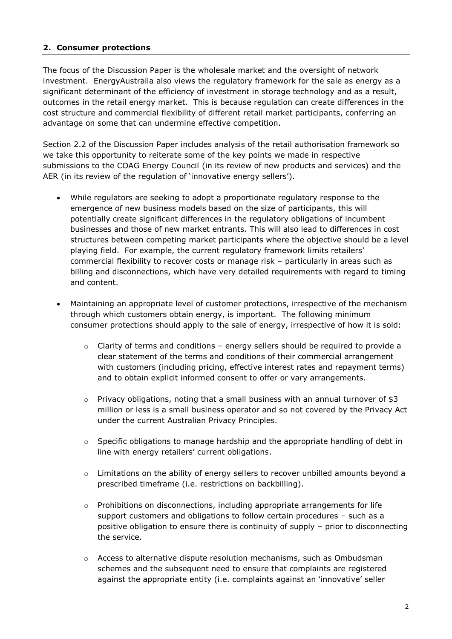### **2. Consumer protections**

The focus of the Discussion Paper is the wholesale market and the oversight of network investment. EnergyAustralia also views the regulatory framework for the sale as energy as a significant determinant of the efficiency of investment in storage technology and as a result, outcomes in the retail energy market. This is because regulation can create differences in the cost structure and commercial flexibility of different retail market participants, conferring an advantage on some that can undermine effective competition.

Section 2.2 of the Discussion Paper includes analysis of the retail authorisation framework so we take this opportunity to reiterate some of the key points we made in respective submissions to the COAG Energy Council (in its review of new products and services) and the AER (in its review of the regulation of 'innovative energy sellers').

- While regulators are seeking to adopt a proportionate regulatory response to the emergence of new business models based on the size of participants, this will potentially create significant differences in the regulatory obligations of incumbent businesses and those of new market entrants. This will also lead to differences in cost structures between competing market participants where the objective should be a level playing field. For example, the current regulatory framework limits retailers' commercial flexibility to recover costs or manage risk – particularly in areas such as billing and disconnections, which have very detailed requirements with regard to timing and content.
- Maintaining an appropriate level of customer protections, irrespective of the mechanism through which customers obtain energy, is important. The following minimum consumer protections should apply to the sale of energy, irrespective of how it is sold:
	- $\circ$  Clarity of terms and conditions energy sellers should be required to provide a clear statement of the terms and conditions of their commercial arrangement with customers (including pricing, effective interest rates and repayment terms) and to obtain explicit informed consent to offer or vary arrangements.
	- $\circ$  Privacy obligations, noting that a small business with an annual turnover of \$3 million or less is a small business operator and so not covered by the Privacy Act under the current Australian Privacy Principles.
	- $\circ$  Specific obligations to manage hardship and the appropriate handling of debt in line with energy retailers' current obligations.
	- $\circ$  Limitations on the ability of energy sellers to recover unbilled amounts beyond a prescribed timeframe (i.e. restrictions on backbilling).
	- $\circ$  Prohibitions on disconnections, including appropriate arrangements for life support customers and obligations to follow certain procedures – such as a positive obligation to ensure there is continuity of supply – prior to disconnecting the service.
	- $\circ$  Access to alternative dispute resolution mechanisms, such as Ombudsman schemes and the subsequent need to ensure that complaints are registered against the appropriate entity (i.e. complaints against an 'innovative' seller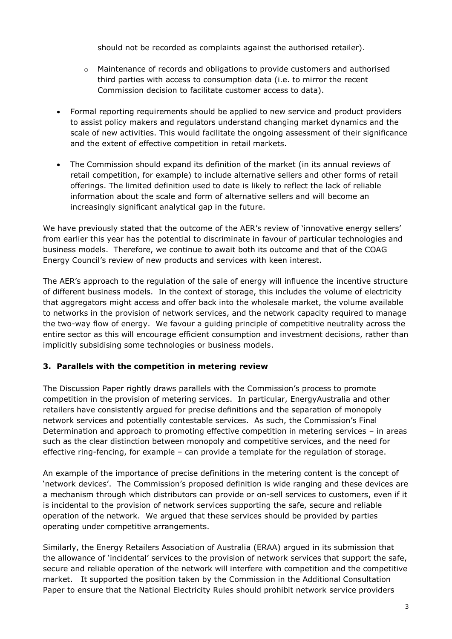should not be recorded as complaints against the authorised retailer).

- o Maintenance of records and obligations to provide customers and authorised third parties with access to consumption data (i.e. to mirror the recent Commission decision to facilitate customer access to data).
- Formal reporting requirements should be applied to new service and product providers to assist policy makers and regulators understand changing market dynamics and the scale of new activities. This would facilitate the ongoing assessment of their significance and the extent of effective competition in retail markets.
- The Commission should expand its definition of the market (in its annual reviews of retail competition, for example) to include alternative sellers and other forms of retail offerings. The limited definition used to date is likely to reflect the lack of reliable information about the scale and form of alternative sellers and will become an increasingly significant analytical gap in the future.

We have previously stated that the outcome of the AER's review of 'innovative energy sellers' from earlier this year has the potential to discriminate in favour of particular technologies and business models. Therefore, we continue to await both its outcome and that of the COAG Energy Council's review of new products and services with keen interest.

The AER's approach to the regulation of the sale of energy will influence the incentive structure of different business models. In the context of storage, this includes the volume of electricity that aggregators might access and offer back into the wholesale market, the volume available to networks in the provision of network services, and the network capacity required to manage the two-way flow of energy. We favour a guiding principle of competitive neutrality across the entire sector as this will encourage efficient consumption and investment decisions, rather than implicitly subsidising some technologies or business models.

#### **3. Parallels with the competition in metering review**

The Discussion Paper rightly draws parallels with the Commission's process to promote competition in the provision of metering services. In particular, EnergyAustralia and other retailers have consistently argued for precise definitions and the separation of monopoly network services and potentially contestable services. As such, the Commission's Final Determination and approach to promoting effective competition in metering services – in areas such as the clear distinction between monopoly and competitive services, and the need for effective ring-fencing, for example – can provide a template for the regulation of storage.

An example of the importance of precise definitions in the metering content is the concept of 'network devices'. The Commission's proposed definition is wide ranging and these devices are a mechanism through which distributors can provide or on-sell services to customers, even if it is incidental to the provision of network services supporting the safe, secure and reliable operation of the network. We argued that these services should be provided by parties operating under competitive arrangements.

Similarly, the Energy Retailers Association of Australia (ERAA) argued in its submission that the allowance of 'incidental' services to the provision of network services that support the safe, secure and reliable operation of the network will interfere with competition and the competitive market. It supported the position taken by the Commission in the Additional Consultation Paper to ensure that the National Electricity Rules should prohibit network service providers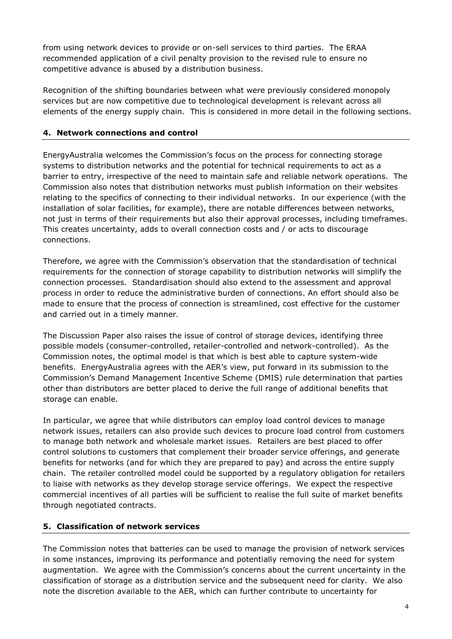from using network devices to provide or on-sell services to third parties. The ERAA recommended application of a civil penalty provision to the revised rule to ensure no competitive advance is abused by a distribution business.

Recognition of the shifting boundaries between what were previously considered monopoly services but are now competitive due to technological development is relevant across all elements of the energy supply chain. This is considered in more detail in the following sections.

## **4. Network connections and control**

EnergyAustralia welcomes the Commission's focus on the process for connecting storage systems to distribution networks and the potential for technical requirements to act as a barrier to entry, irrespective of the need to maintain safe and reliable network operations. The Commission also notes that distribution networks must publish information on their websites relating to the specifics of connecting to their individual networks. In our experience (with the installation of solar facilities, for example), there are notable differences between networks, not just in terms of their requirements but also their approval processes, including timeframes. This creates uncertainty, adds to overall connection costs and / or acts to discourage connections.

Therefore, we agree with the Commission's observation that the standardisation of technical requirements for the connection of storage capability to distribution networks will simplify the connection processes. Standardisation should also extend to the assessment and approval process in order to reduce the administrative burden of connections. An effort should also be made to ensure that the process of connection is streamlined, cost effective for the customer and carried out in a timely manner.

The Discussion Paper also raises the issue of control of storage devices, identifying three possible models (consumer-controlled, retailer-controlled and network-controlled). As the Commission notes, the optimal model is that which is best able to capture system-wide benefits. EnergyAustralia agrees with the AER's view, put forward in its submission to the Commission's Demand Management Incentive Scheme (DMIS) rule determination that parties other than distributors are better placed to derive the full range of additional benefits that storage can enable.

In particular, we agree that while distributors can employ load control devices to manage network issues, retailers can also provide such devices to procure load control from customers to manage both network and wholesale market issues. Retailers are best placed to offer control solutions to customers that complement their broader service offerings, and generate benefits for networks (and for which they are prepared to pay) and across the entire supply chain. The retailer controlled model could be supported by a regulatory obligation for retailers to liaise with networks as they develop storage service offerings. We expect the respective commercial incentives of all parties will be sufficient to realise the full suite of market benefits through negotiated contracts.

#### **5. Classification of network services**

The Commission notes that batteries can be used to manage the provision of network services in some instances, improving its performance and potentially removing the need for system augmentation. We agree with the Commission's concerns about the current uncertainty in the classification of storage as a distribution service and the subsequent need for clarity. We also note the discretion available to the AER, which can further contribute to uncertainty for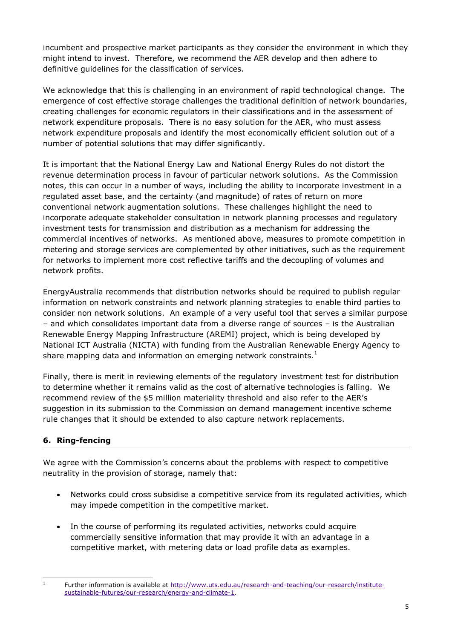incumbent and prospective market participants as they consider the environment in which they might intend to invest. Therefore, we recommend the AER develop and then adhere to definitive guidelines for the classification of services.

We acknowledge that this is challenging in an environment of rapid technological change. The emergence of cost effective storage challenges the traditional definition of network boundaries, creating challenges for economic regulators in their classifications and in the assessment of network expenditure proposals. There is no easy solution for the AER, who must assess network expenditure proposals and identify the most economically efficient solution out of a number of potential solutions that may differ significantly.

It is important that the National Energy Law and National Energy Rules do not distort the revenue determination process in favour of particular network solutions. As the Commission notes, this can occur in a number of ways, including the ability to incorporate investment in a regulated asset base, and the certainty (and magnitude) of rates of return on more conventional network augmentation solutions. These challenges highlight the need to incorporate adequate stakeholder consultation in network planning processes and regulatory investment tests for transmission and distribution as a mechanism for addressing the commercial incentives of networks. As mentioned above, measures to promote competition in metering and storage services are complemented by other initiatives, such as the requirement for networks to implement more cost reflective tariffs and the decoupling of volumes and network profits.

EnergyAustralia recommends that distribution networks should be required to publish regular information on network constraints and network planning strategies to enable third parties to consider non network solutions. An example of a very useful tool that serves a similar purpose – and which consolidates important data from a diverse range of sources – is the Australian Renewable Energy Mapping Infrastructure (AREMI) project, which is being developed by National ICT Australia (NICTA) with funding from the Australian Renewable Energy Agency to share mapping data and information on emerging network constraints.<sup>1</sup>

Finally, there is merit in reviewing elements of the regulatory investment test for distribution to determine whether it remains valid as the cost of alternative technologies is falling. We recommend review of the \$5 million materiality threshold and also refer to the AER's suggestion in its submission to the Commission on demand management incentive scheme rule changes that it should be extended to also capture network replacements.

# **6. Ring-fencing**

 $\frac{1}{1}$ 

We agree with the Commission's concerns about the problems with respect to competitive neutrality in the provision of storage, namely that:

- Networks could cross subsidise a competitive service from its regulated activities, which may impede competition in the competitive market.
- In the course of performing its regulated activities, networks could acquire commercially sensitive information that may provide it with an advantage in a competitive market, with metering data or load profile data as examples.

Further information is available at [http://www.uts.edu.au/research-and-teaching/our-research/institute](http://www.uts.edu.au/research-and-teaching/our-research/institute-sustainable-futures/our-research/energy-and-climate-1)[sustainable-futures/our-research/energy-and-climate-1.](http://www.uts.edu.au/research-and-teaching/our-research/institute-sustainable-futures/our-research/energy-and-climate-1)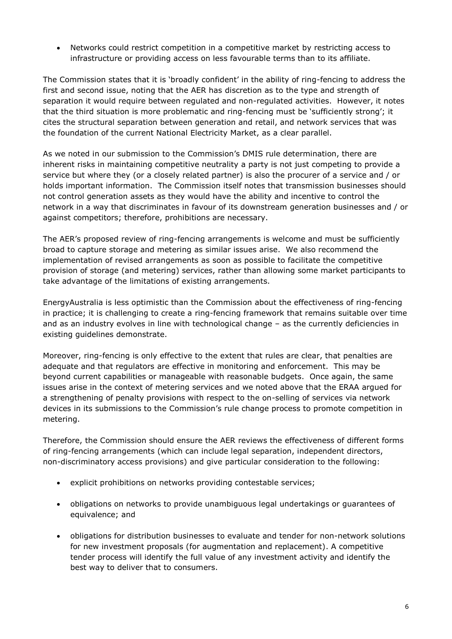Networks could restrict competition in a competitive market by restricting access to infrastructure or providing access on less favourable terms than to its affiliate.

The Commission states that it is 'broadly confident' in the ability of ring-fencing to address the first and second issue, noting that the AER has discretion as to the type and strength of separation it would require between regulated and non-regulated activities. However, it notes that the third situation is more problematic and ring-fencing must be 'sufficiently strong'; it cites the structural separation between generation and retail, and network services that was the foundation of the current National Electricity Market, as a clear parallel.

As we noted in our submission to the Commission's DMIS rule determination, there are inherent risks in maintaining competitive neutrality a party is not just competing to provide a service but where they (or a closely related partner) is also the procurer of a service and / or holds important information. The Commission itself notes that transmission businesses should not control generation assets as they would have the ability and incentive to control the network in a way that discriminates in favour of its downstream generation businesses and / or against competitors; therefore, prohibitions are necessary.

The AER's proposed review of ring-fencing arrangements is welcome and must be sufficiently broad to capture storage and metering as similar issues arise. We also recommend the implementation of revised arrangements as soon as possible to facilitate the competitive provision of storage (and metering) services, rather than allowing some market participants to take advantage of the limitations of existing arrangements.

EnergyAustralia is less optimistic than the Commission about the effectiveness of ring-fencing in practice; it is challenging to create a ring-fencing framework that remains suitable over time and as an industry evolves in line with technological change – as the currently deficiencies in existing guidelines demonstrate.

Moreover, ring-fencing is only effective to the extent that rules are clear, that penalties are adequate and that regulators are effective in monitoring and enforcement. This may be beyond current capabilities or manageable with reasonable budgets. Once again, the same issues arise in the context of metering services and we noted above that the ERAA argued for a strengthening of penalty provisions with respect to the on-selling of services via network devices in its submissions to the Commission's rule change process to promote competition in metering.

Therefore, the Commission should ensure the AER reviews the effectiveness of different forms of ring-fencing arrangements (which can include legal separation, independent directors, non-discriminatory access provisions) and give particular consideration to the following:

- explicit prohibitions on networks providing contestable services;
- obligations on networks to provide unambiguous legal undertakings or guarantees of equivalence; and
- obligations for distribution businesses to evaluate and tender for non-network solutions for new investment proposals (for augmentation and replacement). A competitive tender process will identify the full value of any investment activity and identify the best way to deliver that to consumers.